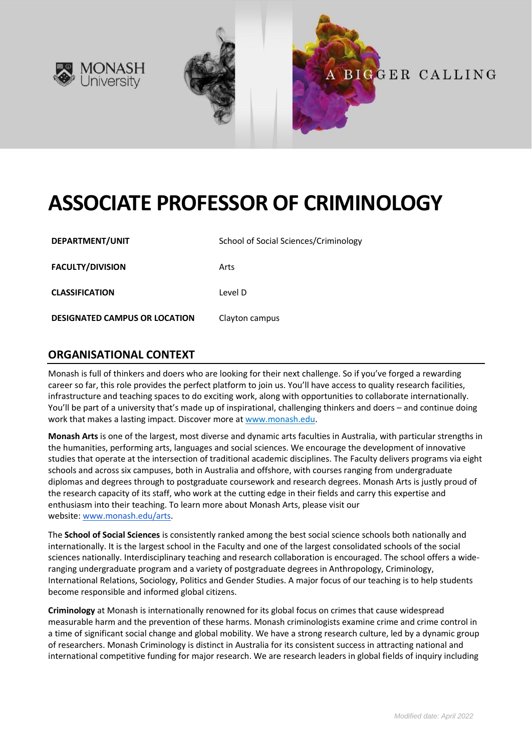

# **ASSOCIATE PROFESSOR OF CRIMINOLOGY**

| DEPARTMENT/UNIT                      | School of Social Sciences/Criminology |
|--------------------------------------|---------------------------------------|
| <b>FACULTY/DIVISION</b>              | Arts                                  |
| <b>CLASSIFICATION</b>                | Level D                               |
| <b>DESIGNATED CAMPUS OR LOCATION</b> | Clayton campus                        |

# **ORGANISATIONAL CONTEXT**

Monash is full of thinkers and doers who are looking for their next challenge. So if you've forged a rewarding career so far, this role provides the perfect platform to join us. You'll have access to quality research facilities, infrastructure and teaching spaces to do exciting work, along with opportunities to collaborate internationally. You'll be part of a university that's made up of inspirational, challenging thinkers and doers – and continue doing work that makes a lasting impact. Discover more at [www.monash.edu.](http://www.monash.edu/)

**Monash Arts** is one of the largest, most diverse and dynamic arts faculties in Australia, with particular strengths in the humanities, performing arts, languages and social sciences. We encourage the development of innovative studies that operate at the intersection of traditional academic disciplines. The Faculty delivers programs via eight schools and across six campuses, both in Australia and offshore, with courses ranging from undergraduate diplomas and degrees through to postgraduate coursework and research degrees. Monash Arts is justly proud of the research capacity of its staff, who work at the cutting edge in their fields and carry this expertise and enthusiasm into their teaching. To learn more about Monash Arts, please visit our website: [www.monash.edu/arts.](https://www.monash.edu/arts)

The **School of Social Sciences** is consistently ranked among the best social science schools both nationally and internationally. It is the largest school in the Faculty and one of the largest consolidated schools of the social sciences nationally. Interdisciplinary teaching and research collaboration is encouraged. The school offers a wideranging undergraduate program and a variety of postgraduate degrees in Anthropology, Criminology, International Relations, Sociology, Politics and Gender Studies. A major focus of our teaching is to help students become responsible and informed global citizens.

**Criminology** at Monash is internationally renowned for its global focus on crimes that cause widespread measurable harm and the prevention of these harms. Monash criminologists examine crime and crime control in a time of significant social change and global mobility. We have a strong research culture, led by a dynamic group of researchers. Monash Criminology is distinct in Australia for its consistent success in attracting national and international competitive funding for major research. We are research leaders in global fields of inquiry including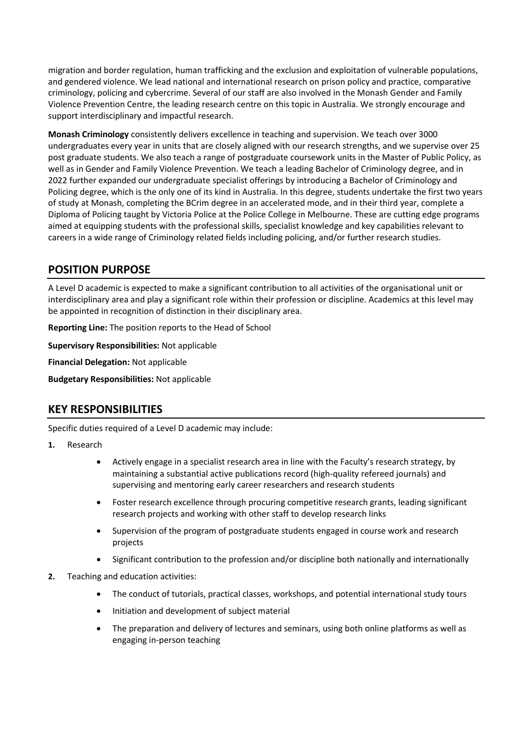migration and border regulation, human trafficking and the exclusion and exploitation of vulnerable populations, and gendered violence. We lead national and international research on prison policy and practice, comparative criminology, policing and cybercrime. Several of our staff are also involved in the Monash Gender and Family Violence Prevention Centre, the leading research centre on this topic in Australia. We strongly encourage and support interdisciplinary and impactful research.

**Monash Criminology** consistently delivers excellence in teaching and supervision. We teach over 3000 undergraduates every year in units that are closely aligned with our research strengths, and we supervise over 25 post graduate students. We also teach a range of postgraduate coursework units in the Master of Public Policy, as well as in Gender and Family Violence Prevention. We teach a leading Bachelor of Criminology degree, and in 2022 further expanded our undergraduate specialist offerings by introducing a Bachelor of Criminology and Policing degree, which is the only one of its kind in Australia. In this degree, students undertake the first two years of study at Monash, completing the BCrim degree in an accelerated mode, and in their third year, complete a Diploma of Policing taught by Victoria Police at the Police College in Melbourne. These are cutting edge programs aimed at equipping students with the professional skills, specialist knowledge and key capabilities relevant to careers in a wide range of Criminology related fields including policing, and/or further research studies.

# **POSITION PURPOSE**

A Level D academic is expected to make a significant contribution to all activities of the organisational unit or interdisciplinary area and play a significant role within their profession or discipline. Academics at this level may be appointed in recognition of distinction in their disciplinary area.

**Reporting Line:** The position reports to the Head of School

**Supervisory Responsibilities:** Not applicable

**Financial Delegation:** Not applicable

**Budgetary Responsibilities:** Not applicable

## **KEY RESPONSIBILITIES**

Specific duties required of a Level D academic may include:

#### **1.** Research

- Actively engage in a specialist research area in line with the Faculty's research strategy, by maintaining a substantial active publications record (high-quality refereed journals) and supervising and mentoring early career researchers and research students
- Foster research excellence through procuring competitive research grants, leading significant research projects and working with other staff to develop research links
- Supervision of the program of postgraduate students engaged in course work and research projects
- Significant contribution to the profession and/or discipline both nationally and internationally
- **2.** Teaching and education activities:
	- The conduct of tutorials, practical classes, workshops, and potential international study tours
	- Initiation and development of subject material
	- The preparation and delivery of lectures and seminars, using both online platforms as well as engaging in-person teaching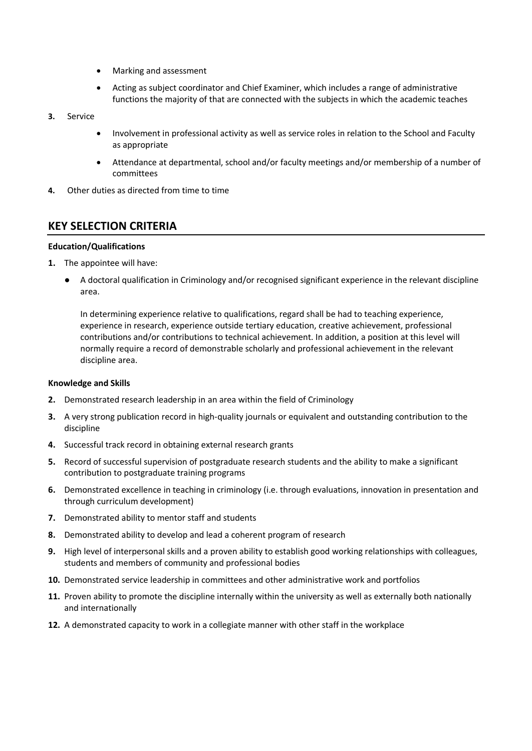- Marking and assessment
- Acting as subject coordinator and Chief Examiner, which includes a range of administrative functions the majority of that are connected with the subjects in which the academic teaches
- **3.** Service
	- Involvement in professional activity as well as service roles in relation to the School and Faculty as appropriate
	- Attendance at departmental, school and/or faculty meetings and/or membership of a number of committees
- **4.** Other duties as directed from time to time

### **KEY SELECTION CRITERIA**

#### **Education/Qualifications**

- **1.** The appointee will have:
	- A doctoral qualification in Criminology and/or recognised significant experience in the relevant discipline area.

In determining experience relative to qualifications, regard shall be had to teaching experience, experience in research, experience outside tertiary education, creative achievement, professional contributions and/or contributions to technical achievement. In addition, a position at this level will normally require a record of demonstrable scholarly and professional achievement in the relevant discipline area.

#### **Knowledge and Skills**

- **2.** Demonstrated research leadership in an area within the field of Criminology
- **3.** A very strong publication record in high-quality journals or equivalent and outstanding contribution to the discipline
- **4.** Successful track record in obtaining external research grants
- **5.** Record of successful supervision of postgraduate research students and the ability to make a significant contribution to postgraduate training programs
- **6.** Demonstrated excellence in teaching in criminology (i.e. through evaluations, innovation in presentation and through curriculum development)
- **7.** Demonstrated ability to mentor staff and students
- **8.** Demonstrated ability to develop and lead a coherent program of research
- **9.** High level of interpersonal skills and a proven ability to establish good working relationships with colleagues, students and members of community and professional bodies
- **10.** Demonstrated service leadership in committees and other administrative work and portfolios
- **11.** Proven ability to promote the discipline internally within the university as well as externally both nationally and internationally
- **12.** A demonstrated capacity to work in a collegiate manner with other staff in the workplace